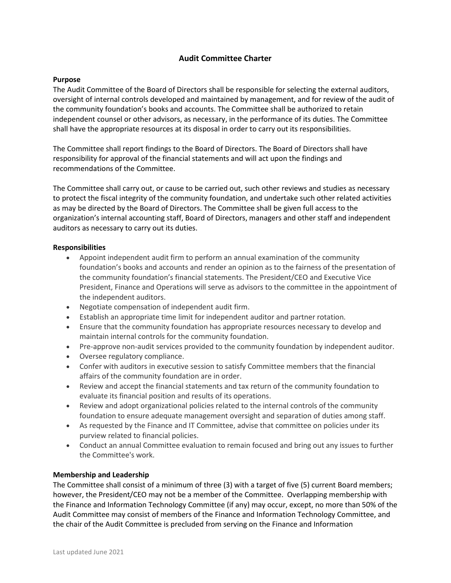# **Audit Committee Charter**

## **Purpose**

The Audit Committee of the Board of Directors shall be responsible for selecting the external auditors, oversight of internal controls developed and maintained by management, and for review of the audit of the community foundation's books and accounts. The Committee shall be authorized to retain independent counsel or other advisors, as necessary, in the performance of its duties. The Committee shall have the appropriate resources at its disposal in order to carry out its responsibilities.

The Committee shall report findings to the Board of Directors. The Board of Directors shall have responsibility for approval of the financial statements and will act upon the findings and recommendations of the Committee.

The Committee shall carry out, or cause to be carried out, such other reviews and studies as necessary to protect the fiscal integrity of the community foundation, and undertake such other related activities as may be directed by the Board of Directors. The Committee shall be given full access to the organization's internal accounting staff, Board of Directors, managers and other staff and independent auditors as necessary to carry out its duties.

### **Responsibilities**

- Appoint independent audit firm to perform an annual examination of the community foundation's books and accounts and render an opinion as to the fairness of the presentation of the community foundation's financial statements. The President/CEO and Executive Vice President, Finance and Operations will serve as advisors to the committee in the appointment of the independent auditors.
- Negotiate compensation of independent audit firm.
- Establish an appropriate time limit for independent auditor and partner rotation.
- Ensure that the community foundation has appropriate resources necessary to develop and maintain internal controls for the community foundation.
- Pre-approve non-audit services provided to the community foundation by independent auditor.
- Oversee regulatory compliance.
- Confer with auditors in executive session to satisfy Committee members that the financial affairs of the community foundation are in order.
- Review and accept the financial statements and tax return of the community foundation to evaluate its financial position and results of its operations.
- Review and adopt organizational policies related to the internal controls of the community foundation to ensure adequate management oversight and separation of duties among staff.
- As requested by the Finance and IT Committee, advise that committee on policies under its purview related to financial policies.
- Conduct an annual Committee evaluation to remain focused and bring out any issues to further the Committee's work.

#### **Membership and Leadership**

The Committee shall consist of a minimum of three (3) with a target of five (5) current Board members; however, the President/CEO may not be a member of the Committee. Overlapping membership with the Finance and Information Technology Committee (if any) may occur, except, no more than 50% of the Audit Committee may consist of members of the Finance and Information Technology Committee, and the chair of the Audit Committee is precluded from serving on the Finance and Information